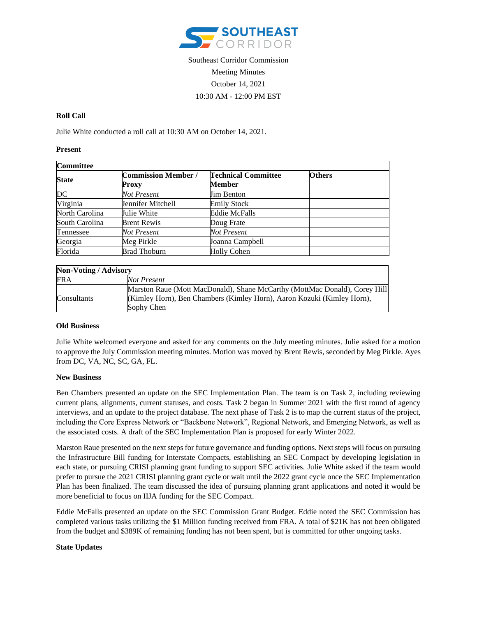

# Southeast Corridor Commission Meeting Minutes October 14, 2021 10:30 AM - 12:00 PM EST

## **Roll Call**

Julie White conducted a roll call at 10:30 AM on October 14, 2021.

#### **Present**

| <b>Committee</b> |                                            |                                      |               |
|------------------|--------------------------------------------|--------------------------------------|---------------|
| <b>State</b>     | <b>Commission Member /</b><br><b>Proxy</b> | <b>Technical Committee</b><br>Member | <b>Others</b> |
| <b>DC</b>        | Not Present                                | Jim Benton                           |               |
| Virginia         | Jennifer Mitchell                          | <b>Emily Stock</b>                   |               |
| North Carolina   | Julie White                                | <b>Eddie McFalls</b>                 |               |
| South Carolina   | <b>Brent Rewis</b>                         | Doug Frate                           |               |
| Tennessee        | Not Present                                | Not Present                          |               |
| Georgia          | Meg Pirkle                                 | Joanna Campbell                      |               |
| Florida          | <b>Brad Thoburn</b>                        | <b>Holly Cohen</b>                   |               |

| <b>Non-Voting / Advisory</b> |                                                                            |  |
|------------------------------|----------------------------------------------------------------------------|--|
| FRA                          | Not Present                                                                |  |
|                              | Marston Raue (Mott MacDonald), Shane McCarthy (MottMac Donald), Corey Hill |  |
| Consultants                  | (Kimley Horn), Ben Chambers (Kimley Horn), Aaron Kozuki (Kimley Horn),     |  |
|                              | Sophy Chen                                                                 |  |

## **Old Business**

Julie White welcomed everyone and asked for any comments on the July meeting minutes. Julie asked for a motion to approve the July Commission meeting minutes. Motion was moved by Brent Rewis, seconded by Meg Pirkle. Ayes from DC, VA, NC, SC, GA, FL.

## **New Business**

Ben Chambers presented an update on the SEC Implementation Plan. The team is on Task 2, including reviewing current plans, alignments, current statuses, and costs. Task 2 began in Summer 2021 with the first round of agency interviews, and an update to the project database. The next phase of Task 2 is to map the current status of the project, including the Core Express Network or "Backbone Network", Regional Network, and Emerging Network, as well as the associated costs. A draft of the SEC Implementation Plan is proposed for early Winter 2022.

Marston Raue presented on the next steps for future governance and funding options. Next steps will focus on pursuing the Infrastructure Bill funding for Interstate Compacts, establishing an SEC Compact by developing legislation in each state, or pursuing CRISI planning grant funding to support SEC activities. Julie White asked if the team would prefer to pursue the 2021 CRISI planning grant cycle or wait until the 2022 grant cycle once the SEC Implementation Plan has been finalized. The team discussed the idea of pursuing planning grant applications and noted it would be more beneficial to focus on IIJA funding for the SEC Compact.

Eddie McFalls presented an update on the SEC Commission Grant Budget. Eddie noted the SEC Commission has completed various tasks utilizing the \$1 Million funding received from FRA. A total of \$21K has not been obligated from the budget and \$389K of remaining funding has not been spent, but is committed for other ongoing tasks.

## **State Updates**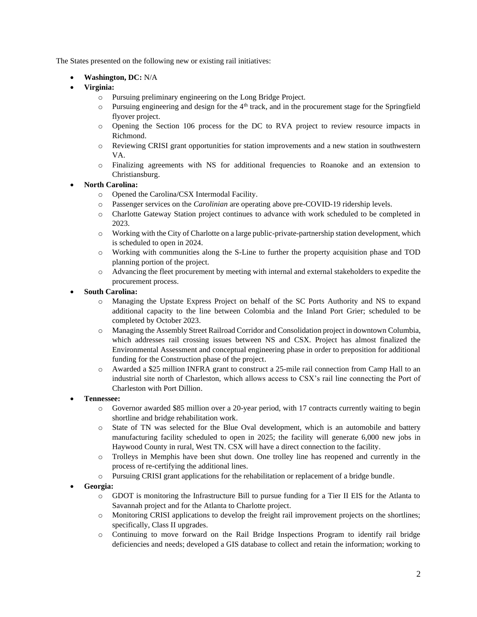The States presented on the following new or existing rail initiatives:

- **Washington, DC:** N/A
- **Virginia:** 
	- o Pursuing preliminary engineering on the Long Bridge Project.
	- $\circ$  Pursuing engineering and design for the 4<sup>th</sup> track, and in the procurement stage for the Springfield flyover project.
	- o Opening the Section 106 process for the DC to RVA project to review resource impacts in Richmond.
	- o Reviewing CRISI grant opportunities for station improvements and a new station in southwestern VA.
	- o Finalizing agreements with NS for additional frequencies to Roanoke and an extension to Christiansburg.
- **North Carolina:** 
	- o Opened the Carolina/CSX Intermodal Facility.
	- o Passenger services on the *Carolinian* are operating above pre-COVID-19 ridership levels.
	- o Charlotte Gateway Station project continues to advance with work scheduled to be completed in 2023.
	- o Working with the City of Charlotte on a large public-private-partnership station development, which is scheduled to open in 2024.
	- o Working with communities along the S-Line to further the property acquisition phase and TOD planning portion of the project.
	- o Advancing the fleet procurement by meeting with internal and external stakeholders to expedite the procurement process.
- **South Carolina:**
	- o Managing the Upstate Express Project on behalf of the SC Ports Authority and NS to expand additional capacity to the line between Colombia and the Inland Port Grier; scheduled to be completed by October 2023.
	- o Managing the Assembly Street Railroad Corridor and Consolidation project in downtown Columbia, which addresses rail crossing issues between NS and CSX. Project has almost finalized the Environmental Assessment and conceptual engineering phase in order to preposition for additional funding for the Construction phase of the project.
	- o Awarded a \$25 million INFRA grant to construct a 25-mile rail connection from Camp Hall to an industrial site north of Charleston, which allows access to CSX's rail line connecting the Port of Charleston with Port Dillion.
- **Tennessee:**
	- o Governor awarded \$85 million over a 20-year period, with 17 contracts currently waiting to begin shortline and bridge rehabilitation work.
	- o State of TN was selected for the Blue Oval development, which is an automobile and battery manufacturing facility scheduled to open in 2025; the facility will generate 6,000 new jobs in Haywood County in rural, West TN. CSX will have a direct connection to the facility.
	- o Trolleys in Memphis have been shut down. One trolley line has reopened and currently in the process of re-certifying the additional lines.
	- o Pursuing CRISI grant applications for the rehabilitation or replacement of a bridge bundle.
- **Georgia:**
	- o GDOT is monitoring the Infrastructure Bill to pursue funding for a Tier II EIS for the Atlanta to Savannah project and for the Atlanta to Charlotte project.
	- o Monitoring CRISI applications to develop the freight rail improvement projects on the shortlines; specifically, Class II upgrades.
	- o Continuing to move forward on the Rail Bridge Inspections Program to identify rail bridge deficiencies and needs; developed a GIS database to collect and retain the information; working to